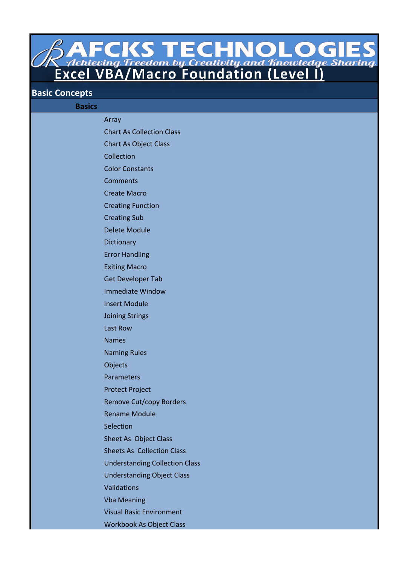**SAFCKSTECHNOLOGIES**<br>Achieving Freedom by Creativity and Knowledge Sharing<br>Excel VBA/Macro Foundation (Level I)

## **Basic Concepts**

| <b>Basics</b> |                                       |
|---------------|---------------------------------------|
|               | Array                                 |
|               | <b>Chart As Collection Class</b>      |
|               | <b>Chart As Object Class</b>          |
|               | Collection                            |
|               | <b>Color Constants</b>                |
|               | <b>Comments</b>                       |
|               | <b>Create Macro</b>                   |
|               | <b>Creating Function</b>              |
|               | <b>Creating Sub</b>                   |
|               | <b>Delete Module</b>                  |
|               | Dictionary                            |
|               | <b>Error Handling</b>                 |
|               | <b>Exiting Macro</b>                  |
|               | <b>Get Developer Tab</b>              |
|               | <b>Immediate Window</b>               |
|               | <b>Insert Module</b>                  |
|               | <b>Joining Strings</b>                |
|               | Last Row                              |
|               | <b>Names</b>                          |
|               | <b>Naming Rules</b>                   |
|               | <b>Objects</b>                        |
|               | Parameters                            |
|               | <b>Protect Project</b>                |
|               | <b>Remove Cut/copy Borders</b>        |
|               | <b>Rename Module</b>                  |
|               | Selection                             |
|               | Sheet As Object Class                 |
|               | <b>Sheets As Collection Class</b>     |
|               | <b>Understanding Collection Class</b> |
|               | <b>Understanding Object Class</b>     |
|               | Validations                           |
|               | <b>Vba Meaning</b>                    |
|               | <b>Visual Basic Environment</b>       |
|               | <b>Workbook As Object Class</b>       |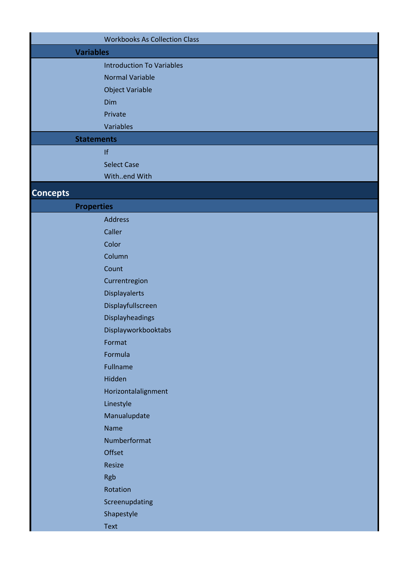| <b>Variables</b><br><b>Introduction To Variables</b><br><b>Normal Variable</b><br><b>Object Variable</b><br><b>Dim</b><br>Private<br>Variables<br><b>Statements</b><br> f <br><b>Select Case</b><br>Withend With<br><b>Properties</b><br><b>Address</b><br>Caller<br>Color<br>Column<br>Count<br>Currentregion<br><b>Displayalerts</b><br>Displayfullscreen<br><b>Displayheadings</b><br>Displayworkbooktabs<br>Format<br>Formula<br>Fullname<br>Hidden<br>Horizontalalignment<br>Linestyle<br>Manualupdate<br><b>Name</b><br>Numberformat<br><b>Offset</b><br>Resize |                 | <b>Workbooks As Collection Class</b> |
|-----------------------------------------------------------------------------------------------------------------------------------------------------------------------------------------------------------------------------------------------------------------------------------------------------------------------------------------------------------------------------------------------------------------------------------------------------------------------------------------------------------------------------------------------------------------------|-----------------|--------------------------------------|
|                                                                                                                                                                                                                                                                                                                                                                                                                                                                                                                                                                       |                 |                                      |
|                                                                                                                                                                                                                                                                                                                                                                                                                                                                                                                                                                       |                 |                                      |
|                                                                                                                                                                                                                                                                                                                                                                                                                                                                                                                                                                       |                 |                                      |
|                                                                                                                                                                                                                                                                                                                                                                                                                                                                                                                                                                       |                 |                                      |
|                                                                                                                                                                                                                                                                                                                                                                                                                                                                                                                                                                       |                 |                                      |
|                                                                                                                                                                                                                                                                                                                                                                                                                                                                                                                                                                       |                 |                                      |
|                                                                                                                                                                                                                                                                                                                                                                                                                                                                                                                                                                       |                 |                                      |
|                                                                                                                                                                                                                                                                                                                                                                                                                                                                                                                                                                       |                 |                                      |
|                                                                                                                                                                                                                                                                                                                                                                                                                                                                                                                                                                       |                 |                                      |
|                                                                                                                                                                                                                                                                                                                                                                                                                                                                                                                                                                       |                 |                                      |
|                                                                                                                                                                                                                                                                                                                                                                                                                                                                                                                                                                       |                 |                                      |
|                                                                                                                                                                                                                                                                                                                                                                                                                                                                                                                                                                       | <b>Concepts</b> |                                      |
|                                                                                                                                                                                                                                                                                                                                                                                                                                                                                                                                                                       |                 |                                      |
|                                                                                                                                                                                                                                                                                                                                                                                                                                                                                                                                                                       |                 |                                      |
|                                                                                                                                                                                                                                                                                                                                                                                                                                                                                                                                                                       |                 |                                      |
|                                                                                                                                                                                                                                                                                                                                                                                                                                                                                                                                                                       |                 |                                      |
|                                                                                                                                                                                                                                                                                                                                                                                                                                                                                                                                                                       |                 |                                      |
|                                                                                                                                                                                                                                                                                                                                                                                                                                                                                                                                                                       |                 |                                      |
|                                                                                                                                                                                                                                                                                                                                                                                                                                                                                                                                                                       |                 |                                      |
|                                                                                                                                                                                                                                                                                                                                                                                                                                                                                                                                                                       |                 |                                      |
|                                                                                                                                                                                                                                                                                                                                                                                                                                                                                                                                                                       |                 |                                      |
|                                                                                                                                                                                                                                                                                                                                                                                                                                                                                                                                                                       |                 |                                      |
|                                                                                                                                                                                                                                                                                                                                                                                                                                                                                                                                                                       |                 |                                      |
|                                                                                                                                                                                                                                                                                                                                                                                                                                                                                                                                                                       |                 |                                      |
|                                                                                                                                                                                                                                                                                                                                                                                                                                                                                                                                                                       |                 |                                      |
|                                                                                                                                                                                                                                                                                                                                                                                                                                                                                                                                                                       |                 |                                      |
|                                                                                                                                                                                                                                                                                                                                                                                                                                                                                                                                                                       |                 |                                      |
|                                                                                                                                                                                                                                                                                                                                                                                                                                                                                                                                                                       |                 |                                      |
|                                                                                                                                                                                                                                                                                                                                                                                                                                                                                                                                                                       |                 |                                      |
|                                                                                                                                                                                                                                                                                                                                                                                                                                                                                                                                                                       |                 |                                      |
|                                                                                                                                                                                                                                                                                                                                                                                                                                                                                                                                                                       |                 |                                      |
|                                                                                                                                                                                                                                                                                                                                                                                                                                                                                                                                                                       |                 |                                      |
|                                                                                                                                                                                                                                                                                                                                                                                                                                                                                                                                                                       |                 |                                      |
|                                                                                                                                                                                                                                                                                                                                                                                                                                                                                                                                                                       |                 |                                      |
|                                                                                                                                                                                                                                                                                                                                                                                                                                                                                                                                                                       |                 | Rgb                                  |
| Rotation                                                                                                                                                                                                                                                                                                                                                                                                                                                                                                                                                              |                 |                                      |
| Screenupdating                                                                                                                                                                                                                                                                                                                                                                                                                                                                                                                                                        |                 |                                      |
| Shapestyle                                                                                                                                                                                                                                                                                                                                                                                                                                                                                                                                                            |                 |                                      |
| Text                                                                                                                                                                                                                                                                                                                                                                                                                                                                                                                                                                  |                 |                                      |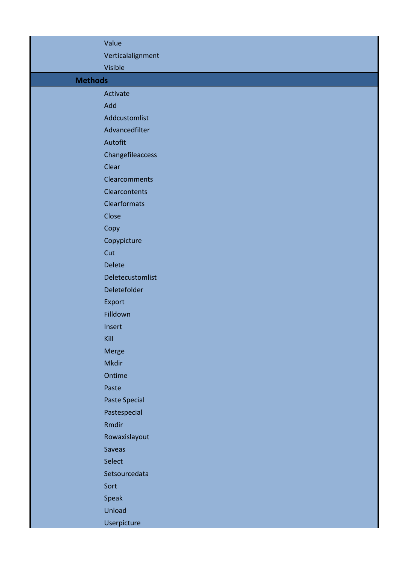|                | Value                |  |
|----------------|----------------------|--|
|                | Verticalalignment    |  |
|                | Visible              |  |
| <b>Methods</b> |                      |  |
|                | Activate             |  |
|                | Add                  |  |
|                | Addcustomlist        |  |
|                | Advancedfilter       |  |
|                | Autofit              |  |
|                | Changefileaccess     |  |
|                | Clear                |  |
|                | <b>Clearcomments</b> |  |
|                | Clearcontents        |  |
|                | <b>Clearformats</b>  |  |
|                | Close                |  |
|                | Copy                 |  |
|                | Copypicture          |  |
|                | Cut                  |  |
|                | <b>Delete</b>        |  |
|                | Deletecustomlist     |  |
|                | Deletefolder         |  |
|                | Export               |  |
|                | Filldown             |  |
|                | Insert               |  |
|                | Kill                 |  |
|                | Merge                |  |
|                | <b>Mkdir</b>         |  |
|                | Ontime               |  |
|                | Paste                |  |
|                | <b>Paste Special</b> |  |
|                | Pastespecial         |  |
|                | Rmdir                |  |
|                | Rowaxislayout        |  |
|                | Saveas               |  |
|                | Select               |  |
|                | Setsourcedata        |  |
|                | Sort                 |  |
|                | Speak                |  |
|                | Unload               |  |
|                | Userpicture          |  |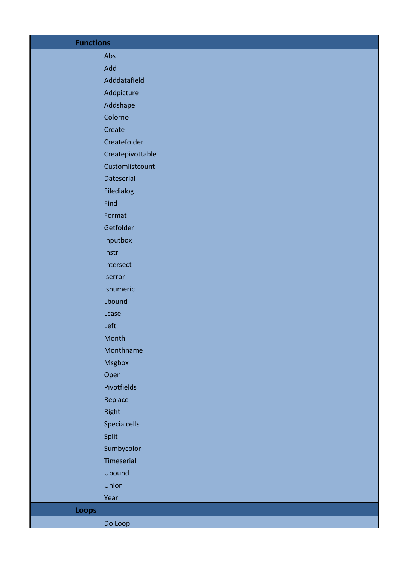| <b>Functions</b> |                  |
|------------------|------------------|
|                  | Abs              |
|                  | Add              |
|                  | Adddatafield     |
|                  | Addpicture       |
|                  | Addshape         |
|                  | Colorno          |
|                  | Create           |
|                  | Createfolder     |
|                  | Createpivottable |
|                  | Customlistcount  |
|                  | Dateserial       |
|                  | Filedialog       |
|                  | Find             |
|                  | Format           |
|                  | Getfolder        |
|                  | Inputbox         |
|                  | Instr            |
|                  | Intersect        |
|                  | Iserror          |
|                  | Isnumeric        |
|                  | Lbound           |
|                  | Lcase            |
|                  | Left             |
|                  | Month            |
|                  | Monthname        |
|                  | <b>Msgbox</b>    |
|                  | Open             |
|                  | Pivotfields      |
|                  | Replace          |
|                  | Right            |
|                  | Specialcells     |
|                  | Split            |
|                  | Sumbycolor       |
|                  | Timeserial       |
|                  | <b>Ubound</b>    |
|                  | Union            |
|                  | Year             |
| Loops            |                  |
|                  | Do Loop          |